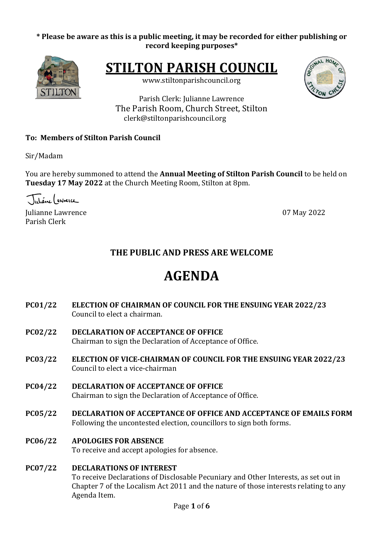# \* Please be aware as this is a public meeting, it may be recorded for either publishing or **record keeping purposes\***



**STILTON PARISH COUNCIL** 

www.stiltonparishcouncil.org



Parish Clerk: Julianne Lawrence The Parish Room, Church Street, Stilton clerk@stiltonparishcouncil.org

# **To: Members of Stilton Parish Council**

Sir/Madam

You are hereby summoned to attend the **Annual Meeting of Stilton Parish Council** to be held on **Tuesday 17 May 2022** at the Church Meeting Room, Stilton at 8pm.

Tutione (enverce

Julianne Lawrence **07 May 2022** Parish Clerk

# **THE PUBLIC AND PRESS ARE WELCOME**

# **AGENDA**

- **PC01/22 ELECTION OF CHAIRMAN OF COUNCIL FOR THE ENSUING YEAR 2022/23** Council to elect a chairman.
- **PC02/22 DECLARATION OF ACCEPTANCE OF OFFICE** Chairman to sign the Declaration of Acceptance of Office.
- **PC03/22 ELECTION OF VICE-CHAIRMAN OF COUNCIL FOR THE ENSUING YEAR 2022/23** Council to elect a vice-chairman
- **PC04/22 DECLARATION OF ACCEPTANCE OF OFFICE** Chairman to sign the Declaration of Acceptance of Office.
- **PC05/22 DECLARATION OF ACCEPTANCE OF OFFICE AND ACCEPTANCE OF EMAILS FORM** Following the uncontested election, councillors to sign both forms.
- **PC06/22 APOLOGIES FOR ABSENCE**

To receive and accept apologies for absence.

# **PC07/22 DECLARATIONS OF INTEREST**

To receive Declarations of Disclosable Pecuniary and Other Interests, as set out in Chapter 7 of the Localism Act 2011 and the nature of those interests relating to any Agenda Item.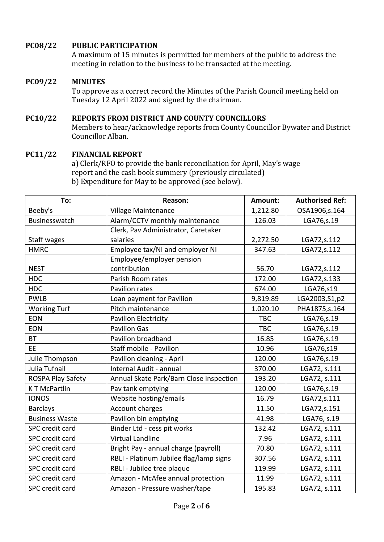# **PC08/22 PUBLIC PARTICIPATION**

A maximum of 15 minutes is permitted for members of the public to address the meeting in relation to the business to be transacted at the meeting.

#### **PC09/22 MINUTES**

To approve as a correct record the Minutes of the Parish Council meeting held on Tuesday 12 April 2022 and signed by the chairman.

#### **PC10/22 REPORTS FROM DISTRICT AND COUNTY COUNCILLORS**

Members to hear/acknowledge reports from County Councillor Bywater and District Councillor Alban.

#### **PC11/22 FINANCIAL REPORT**

a) Clerk/RFO to provide the bank reconciliation for April, May's wage report and the cash book summery (previously circulated) b) Expenditure for May to be approved (see below).

| To:                    | Reason:                                 | Amount:    | <b>Authorised Ref:</b> |
|------------------------|-----------------------------------------|------------|------------------------|
| Beeby's                | Village Maintenance                     | 1,212.80   | OSA1906,s.164          |
| Businesswatch          | Alarm/CCTV monthly maintenance          | 126.03     | LGA76,s.19             |
|                        | Clerk, Pav Administrator, Caretaker     |            |                        |
| Staff wages            | salaries                                | 2,272.50   | LGA72, s.112           |
| <b>HMRC</b>            | Employee tax/NI and employer NI         | 347.63     | LGA72,s.112            |
|                        | Employee/employer pension               |            |                        |
| <b>NEST</b>            | contribution                            | 56.70      | LGA72, s.112           |
| <b>HDC</b>             | Parish Room rates                       | 172.00     | LGA72, s.133           |
| <b>HDC</b>             | <b>Pavilion rates</b>                   | 674.00     | LGA76,s19              |
| <b>PWLB</b>            | Loan payment for Pavilion               | 9,819.89   | LGA2003, S1, p2        |
| <b>Working Turf</b>    | Pitch maintenance                       | 1.020.10   | PHA1875, s. 164        |
| <b>EON</b>             | <b>Pavilion Electricity</b>             | <b>TBC</b> | LGA76,s.19             |
| <b>EON</b>             | <b>Pavilion Gas</b>                     | <b>TBC</b> | LGA76,s.19             |
| <b>BT</b>              | Pavilion broadband                      | 16.85      | LGA76,s.19             |
| EE.                    | Staff mobile - Pavilion                 | 10.96      | LGA76,s19              |
| Julie Thompson         | Pavilion cleaning - April               | 120.00     | LGA76,s.19             |
| Julia Tufnail          | Internal Audit - annual                 | 370.00     | LGA72, s.111           |
| ROSPA Play Safety      | Annual Skate Park/Barn Close inspection | 193.20     | LGA72, s.111           |
| <b>KT McPartlin</b>    | Pav tank emptying                       | 120.00     | LGA76,s.19             |
| <b>IONOS</b>           | Website hosting/emails                  | 16.79      | LGA72,s.111            |
| <b>Barclays</b>        | Account charges                         | 11.50      | LGA72,s.151            |
| <b>Business Waste</b>  | Pavilion bin emptying                   | 41.98      | LGA76, s.19            |
| SPC credit card        | Binder Ltd - cess pit works             | 132.42     | LGA72, s.111           |
| <b>SPC</b> credit card | <b>Virtual Landline</b>                 | 7.96       | LGA72, s.111           |
| SPC credit card        | Bright Pay - annual charge (payroll)    | 70.80      | LGA72, s.111           |
| SPC credit card        | RBLI - Platinum Jubilee flag/lamp signs | 307.56     | LGA72, s.111           |
| SPC credit card        | RBLI - Jubilee tree plaque              | 119.99     | LGA72, s.111           |
| SPC credit card        | Amazon - McAfee annual protection       | 11.99      | LGA72, s.111           |
| SPC credit card        | Amazon - Pressure washer/tape           | 195.83     | LGA72, s.111           |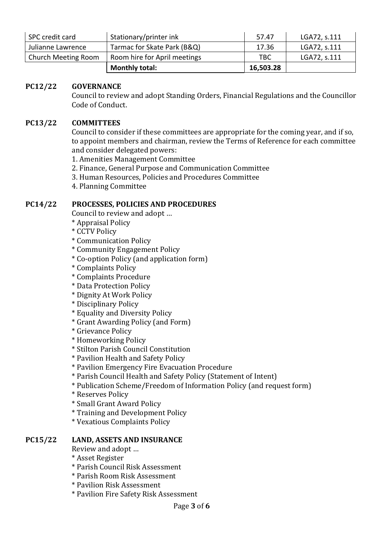| SPC credit card            | Stationary/printer ink       | 57.47     | LGA72, s.111 |
|----------------------------|------------------------------|-----------|--------------|
| Julianne Lawrence          | Tarmac for Skate Park (B&Q)  | 17.36     | LGA72, s.111 |
| <b>Church Meeting Room</b> | Room hire for April meetings | TBC       | LGA72, s.111 |
|                            | <b>Monthly total:</b>        | 16,503.28 |              |

#### **PC12/22 GOVERNANCE**

Council to review and adopt Standing Orders, Financial Regulations and the Councillor Code of Conduct.

#### **PC13/22 COMMITTEES**

Council to consider if these committees are appropriate for the coming year, and if so, to appoint members and chairman, review the Terms of Reference for each committee and consider delegated powers:

- 1. Amenities Management Committee
- 2. Finance, General Purpose and Communication Committee
- 3. Human Resources, Policies and Procedures Committee
- 4. Planning Committee

#### **PC14/22 PROCESSES, POLICIES AND PROCEDURES**

Council to review and adopt ...

- \* Appraisal Policy
- \* CCTV Policy
- \* Communication Policy
- \* Community Engagement Policy
- \* Co-option Policy (and application form)
- \* Complaints Policy
- \* Complaints Procedure
- \* Data Protection Policy
- \* Dignity At Work Policy
- \* Disciplinary Policy
- \* Equality and Diversity Policy
- \* Grant Awarding Policy (and Form)
- \* Grievance Policy
- \* Homeworking Policy
- \* Stilton Parish Council Constitution
- \* Pavilion Health and Safety Policy
- \* Pavilion Emergency Fire Evacuation Procedure
- \* Parish Council Health and Safety Policy (Statement of Intent)
- \* Publication Scheme/Freedom of Information Policy (and request form)
- \* Reserves Policy
- \* Small Grant Award Policy
- \* Training and Development Policy
- \* Vexatious Complaints Policy

#### **PC15/22 LAND, ASSETS AND INSURANCE**

Review and adopt ...

- \* Asset Register
- \* Parish Council Risk Assessment
- \* Parish Room Risk Assessment
- \* Pavilion Risk Assessment
- \* Pavilion Fire Safety Risk Assessment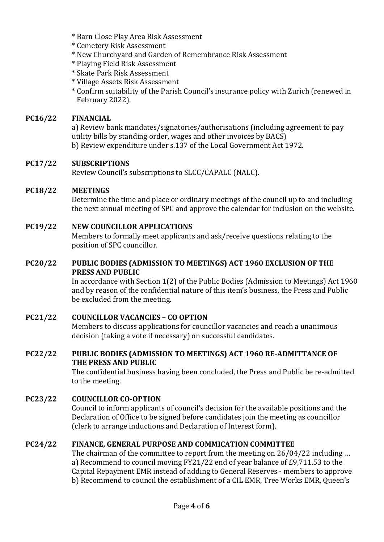- \* Barn Close Play Area Risk Assessment
- \* Cemetery Risk Assessment
- \* New Churchyard and Garden of Remembrance Risk Assessment
- \* Playing Field Risk Assessment
- \* Skate Park Risk Assessment
- \* Village Assets Risk Assessment

\* Confirm suitability of the Parish Council's insurance policy with Zurich (renewed in February 2022).

# **PC16/22 FINANCIAL**

a) Review bank mandates/signatories/authorisations (including agreement to pay utility bills by standing order, wages and other invoices by BACS) b) Review expenditure under s.137 of the Local Government Act 1972.

# **PC17/22 SUBSCRIPTIONS**

Review Council's subscriptions to SLCC/CAPALC (NALC).

# **PC18/22 MEETINGS**

Determine the time and place or ordinary meetings of the council up to and including the next annual meeting of SPC and approve the calendar for inclusion on the website.

# **PC19/22 NEW COUNCILLOR APPLICATIONS**

Members to formally meet applicants and ask/receive questions relating to the position of SPC councillor.

#### **PC20/22** PUBLIC BODIES (ADMISSION TO MEETINGS) ACT 1960 EXCLUSION OF THE **PRESS AND PUBLIC**

In accordance with Section  $1(2)$  of the Public Bodies (Admission to Meetings) Act 1960 and by reason of the confidential nature of this item's business, the Press and Public be excluded from the meeting.

# **PC21/22 COUNCILLOR VACANCIES – CO OPTION**

Members to discuss applications for councillor vacancies and reach a unanimous decision (taking a vote if necessary) on successful candidates.

#### **PC22/22** PUBLIC BODIES (ADMISSION TO MEETINGS) ACT 1960 RE-ADMITTANCE OF **THE PRESS AND PUBLIC**

The confidential business having been concluded, the Press and Public be re-admitted to the meeting.

# **PC23/22 COUNCILLOR CO-OPTION**

Council to inform applicants of council's decision for the available positions and the Declaration of Office to be signed before candidates join the meeting as councillor (clerk to arrange inductions and Declaration of Interest form).

# **PC24/22 FINANCE, GENERAL PURPOSE AND COMMICATION COMMITTEE**

The chairman of the committee to report from the meeting on  $26/04/22$  including ... a) Recommend to council moving FY21/22 end of year balance of £9,711.53 to the Capital Repayment EMR instead of adding to General Reserves - members to approve b) Recommend to council the establishment of a CIL EMR, Tree Works EMR, Queen's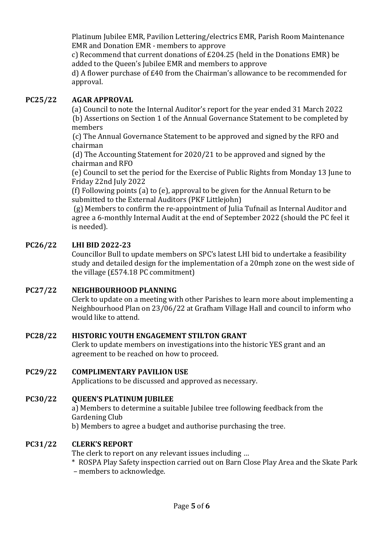Platinum Jubilee EMR, Pavilion Lettering/electrics EMR, Parish Room Maintenance EMR and Donation EMR - members to approve

c) Recommend that current donations of  $£204.25$  (held in the Donations EMR) be added to the Queen's Jubilee EMR and members to approve

d) A flower purchase of £40 from the Chairman's allowance to be recommended for approval.

# **PC25/22 AGAR APPROVAL**

(a) Council to note the Internal Auditor's report for the year ended 31 March 2022 **(b)** Assertions on Section 1 of the Annual Governance Statement to be completed by members

(c) The Annual Governance Statement to be approved and signed by the RFO and chairman 

(d) The Accounting Statement for 2020/21 to be approved and signed by the chairman and RFO

(e) Council to set the period for the Exercise of Public Rights from Monday 13 June to Friday 22nd July 2022

(f) Following points (a) to (e), approval to be given for the Annual Return to be submitted to the External Auditors (PKF Littlejohn)

 $(g)$  Members to confirm the re-appointment of Julia Tufnail as Internal Auditor and agree a 6-monthly Internal Audit at the end of September 2022 (should the PC feel it is needed).

# **PC26/22 LHI BID 2022-23**

Councillor Bull to update members on SPC's latest LHI bid to undertake a feasibility study and detailed design for the implementation of a 20mph zone on the west side of the village  $(E574.18 \text{ PC}$  commitment)

# **PC27/22 NEIGHBOURHOOD PLANNING**

Clerk to update on a meeting with other Parishes to learn more about implementing a Neighbourhood Plan on 23/06/22 at Grafham Village Hall and council to inform who would like to attend.

#### **PC28/22 HISTORIC YOUTH ENGAGEMENT STILTON GRANT**

Clerk to update members on investigations into the historic YES grant and an agreement to be reached on how to proceed.

# **PC29/22 COMPLIMENTARY PAVILION USE**

Applications to be discussed and approved as necessary.

# **PC30/22 QUEEN'S PLATINUM JUBILEE**

a) Members to determine a suitable Jubilee tree following feedback from the Gardening Club

b) Members to agree a budget and authorise purchasing the tree.

#### **PC31/22 CLERK'S REPORT**

The clerk to report on any relevant issues including ...

- \* ROSPA Play Safety inspection carried out on Barn Close Play Area and the Skate Park
- members to acknowledge.